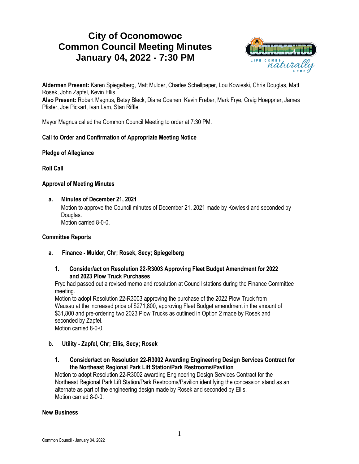# **City of Oconomowoc Common Council Meeting Minutes January 04, 2022 - 7:30 PM**



**Aldermen Present:** Karen Spiegelberg, Matt Mulder, Charles Schellpeper, Lou Kowieski, Chris Douglas, Matt Rosek, John Zapfel, Kevin Ellis **Also Present:** Robert Magnus, Betsy Bleck, Diane Coenen, Kevin Freber, Mark Frye, Craig Hoeppner, James Pfister, Joe Pickart, Ivan Lam, Stan Riffle

Mayor Magnus called the Common Council Meeting to order at 7:30 PM.

## **Call to Order and Confirmation of Appropriate Meeting Notice**

## **Pledge of Allegiance**

**Roll Call**

## **Approval of Meeting Minutes**

**a. Minutes of December 21, 2021**

Motion to approve the Council minutes of December 21, 2021 made by Kowieski and seconded by Douglas. Motion carried 8-0-0.

## **Committee Reports**

- **a. Finance - Mulder, Chr; Rosek, Secy; Spiegelberg**
	- **1. Consider/act on Resolution 22-R3003 Approving Fleet Budget Amendment for 2022 and 2023 Plow Truck Purchases**

Frye had passed out a revised memo and resolution at Council stations during the Finance Committee meeting.

Motion to adopt Resolution 22-R3003 approving the purchase of the 2022 Plow Truck from Wausau at the increased price of \$271,800, approving Fleet Budget amendment in the amount of \$31,800 and pre-ordering two 2023 Plow Trucks as outlined in Option 2 made by Rosek and seconded by Zapfel.

Motion carried 8-0-0.

- **b. Utility - Zapfel, Chr; Ellis, Secy; Rosek**
	- **1. Consider/act on Resolution 22-R3002 Awarding Engineering Design Services Contract for the Northeast Regional Park Lift Station/Park Restrooms/Pavilion**

Motion to adopt Resolution 22-R3002 awarding Engineering Design Services Contract for the Northeast Regional Park Lift Station/Park Restrooms/Pavilion identifying the concession stand as an alternate as part of the engineering design made by Rosek and seconded by Ellis. Motion carried 8-0-0.

## **New Business**